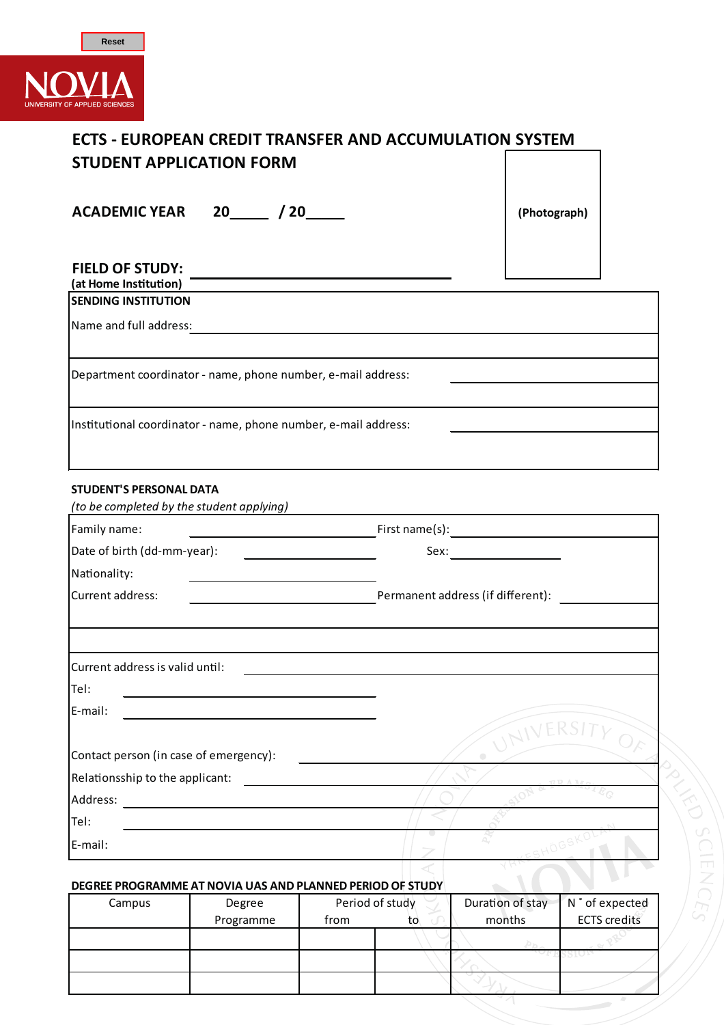

E-mail:

| <b>ECTS - EUROPEAN CREDIT TRANSFER AND ACCUMULATION SYSTEM</b><br><b>STUDENT APPLICATION FORM</b>                                                |              |
|--------------------------------------------------------------------------------------------------------------------------------------------------|--------------|
| ACADEMIC YEAR 20 / 20                                                                                                                            | (Photograph) |
| <b>FIELD OF STUDY:</b><br>(at Home Institution)                                                                                                  |              |
| <b>SENDING INSTITUTION</b>                                                                                                                       |              |
| Name and full address:                                                                                                                           |              |
|                                                                                                                                                  |              |
| Department coordinator - name, phone number, e-mail address:                                                                                     |              |
|                                                                                                                                                  |              |
| Institutional coordinator - name, phone number, e-mail address:                                                                                  |              |
|                                                                                                                                                  |              |
|                                                                                                                                                  |              |
| <b>STUDENT'S PERSONAL DATA</b><br>(to be completed by the student applying) and all the control of the student student of the student student st |              |
| Family name:                                                                                                                                     |              |
| Date of birth (dd-mm-year):                                                                                                                      | Sex:         |
| Nationality:                                                                                                                                     |              |
| the contract of the contract of the contract of the contract of the contract of<br>Current address:                                              |              |
|                                                                                                                                                  |              |
|                                                                                                                                                  |              |
| Current address is valid until:                                                                                                                  |              |
| Tel:                                                                                                                                             |              |
| E-mail:                                                                                                                                          |              |
|                                                                                                                                                  | eksi         |
| Contact person (in case of emergency):                                                                                                           |              |
| Relationsship to the applicant:                                                                                                                  |              |
| Address:                                                                                                                                         |              |
| Tel:                                                                                                                                             |              |

## **DEGREE PROGRAMME AT NOVIA UAS AND PLANNED PERIOD OF STUDY**

| Campus | Degree    | Period of study |    | Duration of stay | N ° of expected     |
|--------|-----------|-----------------|----|------------------|---------------------|
|        | Programme | from            | to | months           | <b>ECTS</b> credits |
|        |           |                 |    |                  |                     |
|        |           |                 |    |                  |                     |
|        |           |                 |    |                  |                     |

PR

**SCIENCE**